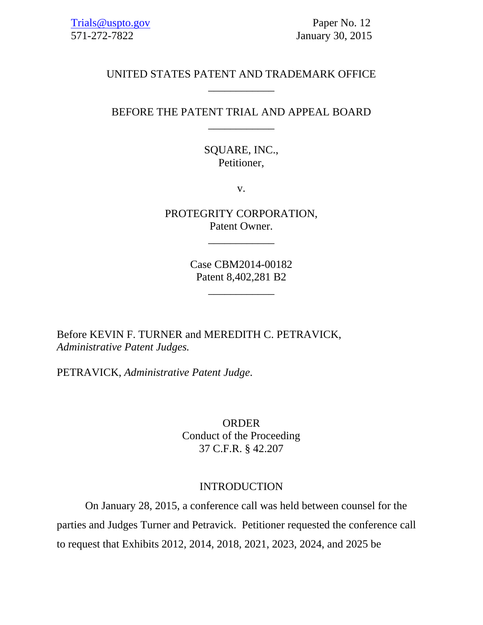# UNITED STATES PATENT AND TRADEMARK OFFICE \_\_\_\_\_\_\_\_\_\_\_\_

# BEFORE THE PATENT TRIAL AND APPEAL BOARD \_\_\_\_\_\_\_\_\_\_\_\_

# SQUARE, INC., Petitioner,

v.

PROTEGRITY CORPORATION, Patent Owner.

\_\_\_\_\_\_\_\_\_\_\_\_

Case CBM2014-00182 Patent 8,402,281 B2

\_\_\_\_\_\_\_\_\_\_\_\_

Before KEVIN F. TURNER and MEREDITH C. PETRAVICK, *Administrative Patent Judges.* 

PETRAVICK, *Administrative Patent Judge*.

ORDER Conduct of the Proceeding 37 C.F.R. § 42.207

### INTRODUCTION

 On January 28, 2015, a conference call was held between counsel for the parties and Judges Turner and Petravick. Petitioner requested the conference call to request that Exhibits 2012, 2014, 2018, 2021, 2023, 2024, and 2025 be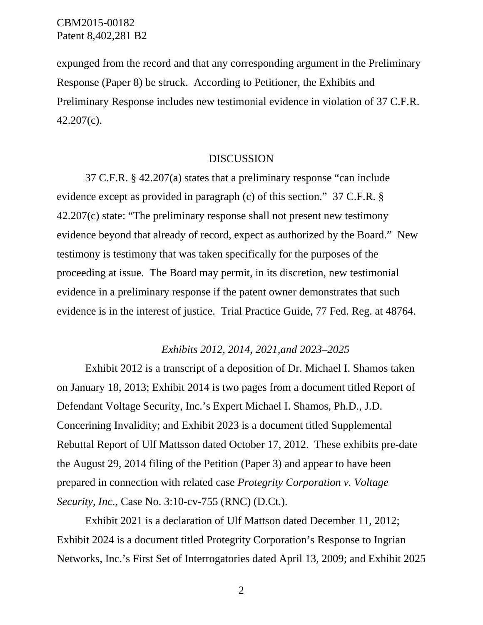CBM2015-00182 Patent 8,402,281 B2

expunged from the record and that any corresponding argument in the Preliminary Response (Paper 8) be struck. According to Petitioner, the Exhibits and Preliminary Response includes new testimonial evidence in violation of 37 C.F.R. 42.207(c).

#### DISCUSSION

37 C.F.R. § 42.207(a) states that a preliminary response "can include evidence except as provided in paragraph (c) of this section." 37 C.F.R. § 42.207(c) state: "The preliminary response shall not present new testimony evidence beyond that already of record, expect as authorized by the Board." New testimony is testimony that was taken specifically for the purposes of the proceeding at issue. The Board may permit, in its discretion, new testimonial evidence in a preliminary response if the patent owner demonstrates that such evidence is in the interest of justice. Trial Practice Guide, 77 Fed. Reg. at 48764.

### *Exhibits 2012, 2014, 2021,and 2023–2025*

Exhibit 2012 is a transcript of a deposition of Dr. Michael I. Shamos taken on January 18, 2013; Exhibit 2014 is two pages from a document titled Report of Defendant Voltage Security, Inc.'s Expert Michael I. Shamos, Ph.D., J.D. Concerining Invalidity; and Exhibit 2023 is a document titled Supplemental Rebuttal Report of Ulf Mattsson dated October 17, 2012. These exhibits pre-date the August 29, 2014 filing of the Petition (Paper 3) and appear to have been prepared in connection with related case *Protegrity Corporation v. Voltage Security, Inc.,* Case No. 3:10-cv-755 (RNC) (D.Ct.).

Exhibit 2021 is a declaration of Ulf Mattson dated December 11, 2012; Exhibit 2024 is a document titled Protegrity Corporation's Response to Ingrian Networks, Inc.'s First Set of Interrogatories dated April 13, 2009; and Exhibit 2025

2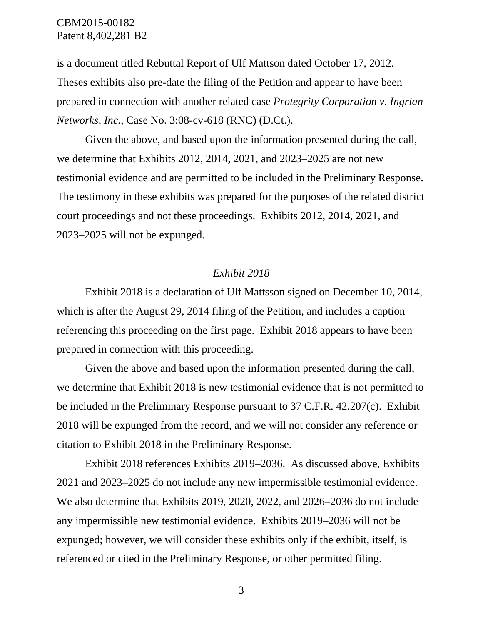# CBM2015-00182 Patent 8,402,281 B2

is a document titled Rebuttal Report of Ulf Mattson dated October 17, 2012. Theses exhibits also pre-date the filing of the Petition and appear to have been prepared in connection with another related case *Protegrity Corporation v. Ingrian Networks, Inc.*, Case No. 3:08-cv-618 (RNC) (D.Ct.).

Given the above, and based upon the information presented during the call, we determine that Exhibits 2012, 2014, 2021, and 2023–2025 are not new testimonial evidence and are permitted to be included in the Preliminary Response. The testimony in these exhibits was prepared for the purposes of the related district court proceedings and not these proceedings. Exhibits 2012, 2014, 2021, and 2023–2025 will not be expunged.

### *Exhibit 2018*

Exhibit 2018 is a declaration of Ulf Mattsson signed on December 10, 2014, which is after the August 29, 2014 filing of the Petition, and includes a caption referencing this proceeding on the first page. Exhibit 2018 appears to have been prepared in connection with this proceeding.

Given the above and based upon the information presented during the call, we determine that Exhibit 2018 is new testimonial evidence that is not permitted to be included in the Preliminary Response pursuant to 37 C.F.R. 42.207(c). Exhibit 2018 will be expunged from the record, and we will not consider any reference or citation to Exhibit 2018 in the Preliminary Response.

Exhibit 2018 references Exhibits 2019–2036. As discussed above, Exhibits 2021 and 2023–2025 do not include any new impermissible testimonial evidence. We also determine that Exhibits 2019, 2020, 2022, and 2026–2036 do not include any impermissible new testimonial evidence. Exhibits 2019–2036 will not be expunged; however, we will consider these exhibits only if the exhibit, itself, is referenced or cited in the Preliminary Response, or other permitted filing.

3